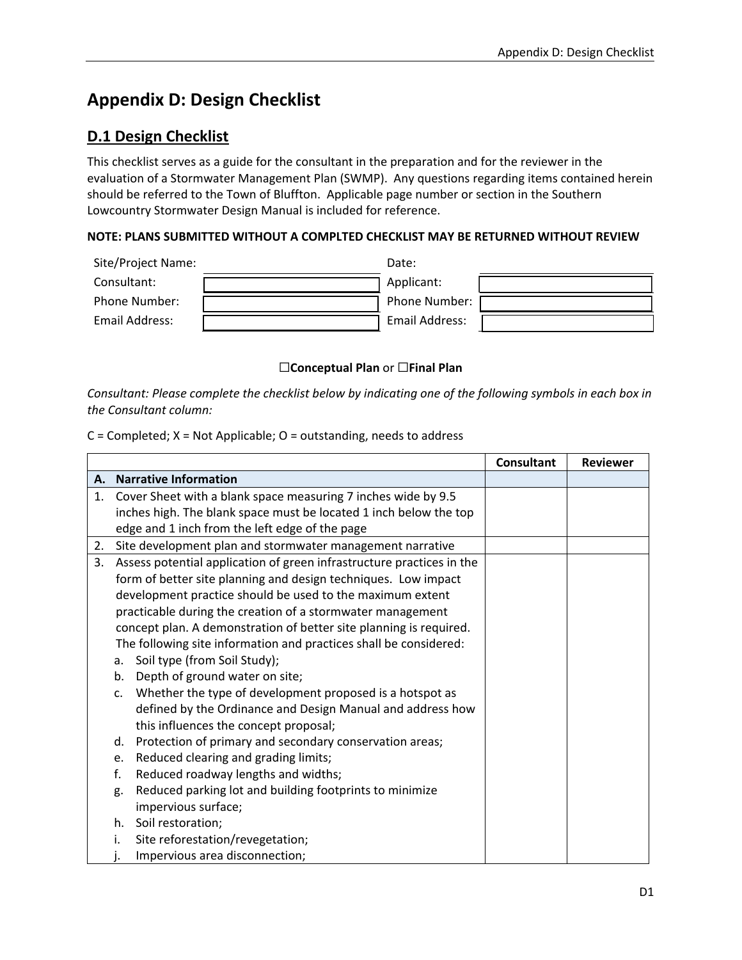## **Appendix D: Design Checklist**

## **D.1 Design Checklist**

This checklist serves as a guide for the consultant in the preparation and for the reviewer in the evaluation of a Stormwater Management Plan (SWMP). Any questions regarding items contained herein should be referred to the Town of Bluffton. Applicable page number or section in the Southern Lowcountry Stormwater Design Manual is included for reference.

## **NOTE: PLANS SUBMITTED WITHOUT A COMPLTED CHECKLIST MAY BE RETURNED WITHOUT REVIEW**

| Site/Project Name: | Date:          |
|--------------------|----------------|
| Consultant:        | Applicant:     |
| Phone Number:      | Phone Number:  |
| Email Address:     | Email Address: |

## ☐**Conceptual Plan** or ☐**Final Plan**

*Consultant: Please complete the checklist below by indicating one of the following symbols in each box in the Consultant column:*

 $C =$  Completed;  $X =$  Not Applicable;  $O =$  outstanding, needs to address

|    |    |                                                                       | <b>Consultant</b> | <b>Reviewer</b> |
|----|----|-----------------------------------------------------------------------|-------------------|-----------------|
|    |    | A. Narrative Information                                              |                   |                 |
| 1. |    | Cover Sheet with a blank space measuring 7 inches wide by 9.5         |                   |                 |
|    |    | inches high. The blank space must be located 1 inch below the top     |                   |                 |
|    |    | edge and 1 inch from the left edge of the page                        |                   |                 |
| 2. |    | Site development plan and stormwater management narrative             |                   |                 |
| 3. |    | Assess potential application of green infrastructure practices in the |                   |                 |
|    |    | form of better site planning and design techniques. Low impact        |                   |                 |
|    |    | development practice should be used to the maximum extent             |                   |                 |
|    |    | practicable during the creation of a stormwater management            |                   |                 |
|    |    | concept plan. A demonstration of better site planning is required.    |                   |                 |
|    |    | The following site information and practices shall be considered:     |                   |                 |
|    | a. | Soil type (from Soil Study);                                          |                   |                 |
|    | b. | Depth of ground water on site;                                        |                   |                 |
|    | c. | Whether the type of development proposed is a hotspot as              |                   |                 |
|    |    | defined by the Ordinance and Design Manual and address how            |                   |                 |
|    |    | this influences the concept proposal;                                 |                   |                 |
|    | d. | Protection of primary and secondary conservation areas;               |                   |                 |
|    | e. | Reduced clearing and grading limits;                                  |                   |                 |
|    | f. | Reduced roadway lengths and widths;                                   |                   |                 |
|    | g. | Reduced parking lot and building footprints to minimize               |                   |                 |
|    |    | impervious surface;                                                   |                   |                 |
|    | h. | Soil restoration;                                                     |                   |                 |
|    | i. | Site reforestation/revegetation;                                      |                   |                 |
|    |    | Impervious area disconnection;                                        |                   |                 |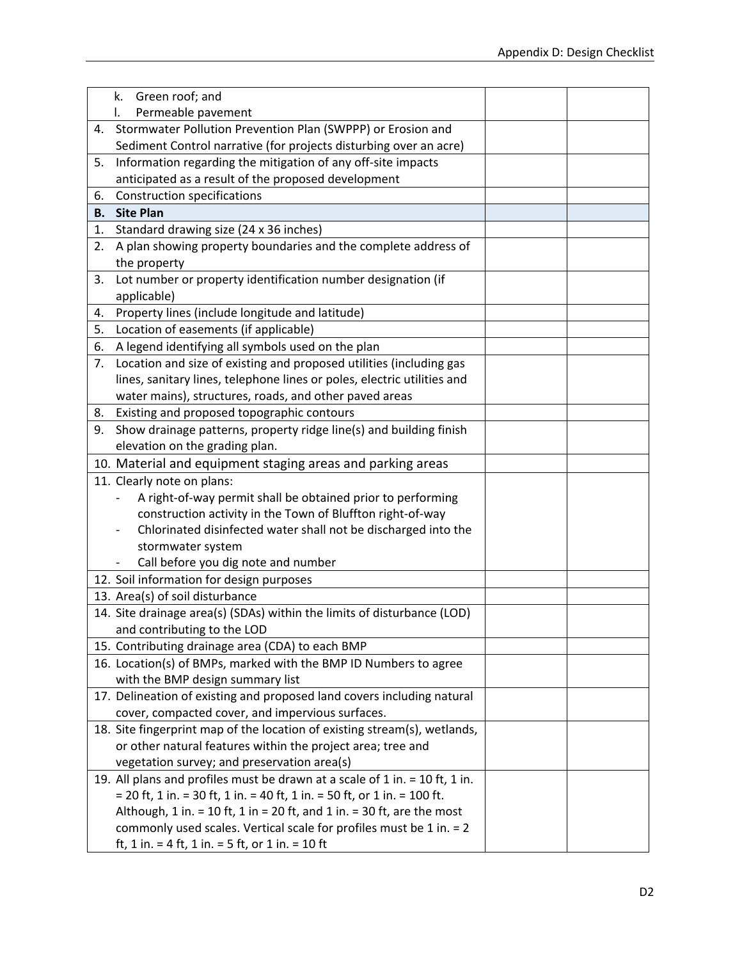|           | Green roof; and<br>k.                                                              |  |  |
|-----------|------------------------------------------------------------------------------------|--|--|
|           | Permeable pavement<br>L.                                                           |  |  |
| 4.        | Stormwater Pollution Prevention Plan (SWPPP) or Erosion and                        |  |  |
|           | Sediment Control narrative (for projects disturbing over an acre)                  |  |  |
| 5.        | Information regarding the mitigation of any off-site impacts                       |  |  |
|           | anticipated as a result of the proposed development                                |  |  |
| 6.        | <b>Construction specifications</b>                                                 |  |  |
| <b>B.</b> | <b>Site Plan</b>                                                                   |  |  |
| 1.        | Standard drawing size (24 x 36 inches)                                             |  |  |
| 2.        | A plan showing property boundaries and the complete address of                     |  |  |
|           | the property                                                                       |  |  |
| 3.        | Lot number or property identification number designation (if                       |  |  |
|           | applicable)                                                                        |  |  |
| 4.        | Property lines (include longitude and latitude)                                    |  |  |
| 5.        | Location of easements (if applicable)                                              |  |  |
| 6.        | A legend identifying all symbols used on the plan                                  |  |  |
| 7.        | Location and size of existing and proposed utilities (including gas                |  |  |
|           | lines, sanitary lines, telephone lines or poles, electric utilities and            |  |  |
|           | water mains), structures, roads, and other paved areas                             |  |  |
| 8.        | Existing and proposed topographic contours                                         |  |  |
| 9.        | Show drainage patterns, property ridge line(s) and building finish                 |  |  |
|           | elevation on the grading plan.                                                     |  |  |
|           | 10. Material and equipment staging areas and parking areas                         |  |  |
|           | 11. Clearly note on plans:                                                         |  |  |
|           | A right-of-way permit shall be obtained prior to performing                        |  |  |
|           | construction activity in the Town of Bluffton right-of-way                         |  |  |
|           | Chlorinated disinfected water shall not be discharged into the                     |  |  |
|           | stormwater system                                                                  |  |  |
|           | Call before you dig note and number                                                |  |  |
|           | 12. Soil information for design purposes                                           |  |  |
|           | 13. Area(s) of soil disturbance                                                    |  |  |
|           | 14. Site drainage area(s) (SDAs) within the limits of disturbance (LOD)            |  |  |
|           | and contributing to the LOD                                                        |  |  |
|           | 15. Contributing drainage area (CDA) to each BMP                                   |  |  |
|           | 16. Location(s) of BMPs, marked with the BMP ID Numbers to agree                   |  |  |
|           | with the BMP design summary list                                                   |  |  |
|           | 17. Delineation of existing and proposed land covers including natural             |  |  |
|           | cover, compacted cover, and impervious surfaces.                                   |  |  |
|           | 18. Site fingerprint map of the location of existing stream(s), wetlands,          |  |  |
|           | or other natural features within the project area; tree and                        |  |  |
|           | vegetation survey; and preservation area(s)                                        |  |  |
|           | 19. All plans and profiles must be drawn at a scale of 1 in. = 10 ft, 1 in.        |  |  |
|           | $=$ 20 ft, 1 in. $=$ 30 ft, 1 in. $=$ 40 ft, 1 in. $=$ 50 ft, or 1 in. $=$ 100 ft. |  |  |
|           | Although, 1 in. = 10 ft, 1 in = 20 ft, and 1 in. = 30 ft, are the most             |  |  |
|           | commonly used scales. Vertical scale for profiles must be 1 in. $= 2$              |  |  |
|           | ft, 1 in. = 4 ft, 1 in. = 5 ft, or 1 in. = 10 ft                                   |  |  |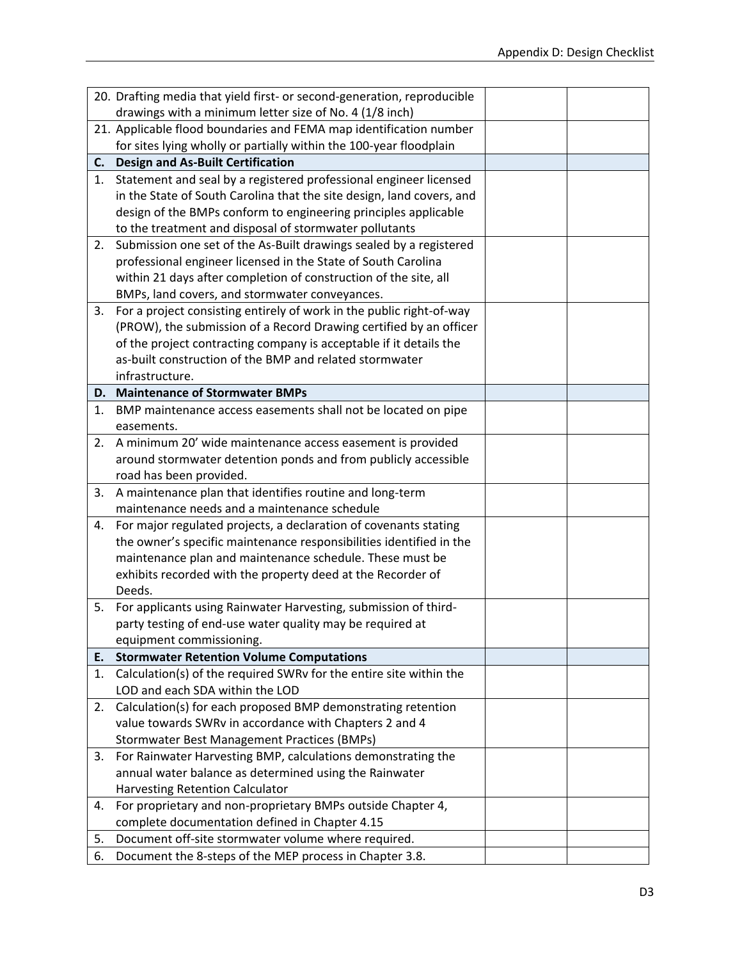|    | 20. Drafting media that yield first- or second-generation, reproducible                                        |  |
|----|----------------------------------------------------------------------------------------------------------------|--|
|    | drawings with a minimum letter size of No. 4 (1/8 inch)                                                        |  |
|    | 21. Applicable flood boundaries and FEMA map identification number                                             |  |
|    | for sites lying wholly or partially within the 100-year floodplain                                             |  |
|    | C. Design and As-Built Certification                                                                           |  |
| 1. | Statement and seal by a registered professional engineer licensed                                              |  |
|    | in the State of South Carolina that the site design, land covers, and                                          |  |
|    | design of the BMPs conform to engineering principles applicable                                                |  |
|    | to the treatment and disposal of stormwater pollutants                                                         |  |
| 2. | Submission one set of the As-Built drawings sealed by a registered                                             |  |
|    | professional engineer licensed in the State of South Carolina                                                  |  |
|    | within 21 days after completion of construction of the site, all                                               |  |
|    | BMPs, land covers, and stormwater conveyances.                                                                 |  |
| 3. | For a project consisting entirely of work in the public right-of-way                                           |  |
|    | (PROW), the submission of a Record Drawing certified by an officer                                             |  |
|    | of the project contracting company is acceptable if it details the                                             |  |
|    | as-built construction of the BMP and related stormwater                                                        |  |
|    | infrastructure.                                                                                                |  |
|    | D. Maintenance of Stormwater BMPs                                                                              |  |
| 1. | BMP maintenance access easements shall not be located on pipe                                                  |  |
|    | easements.                                                                                                     |  |
| 2. | A minimum 20' wide maintenance access easement is provided                                                     |  |
|    | around stormwater detention ponds and from publicly accessible                                                 |  |
|    | road has been provided.                                                                                        |  |
| 3. | A maintenance plan that identifies routine and long-term                                                       |  |
|    | maintenance needs and a maintenance schedule                                                                   |  |
| 4. | For major regulated projects, a declaration of covenants stating                                               |  |
|    | the owner's specific maintenance responsibilities identified in the                                            |  |
|    | maintenance plan and maintenance schedule. These must be                                                       |  |
|    | exhibits recorded with the property deed at the Recorder of                                                    |  |
|    | Deeds.                                                                                                         |  |
| 5. | For applicants using Rainwater Harvesting, submission of third-                                                |  |
|    | party testing of end-use water quality may be required at                                                      |  |
|    | equipment commissioning.                                                                                       |  |
| Е. | <b>Stormwater Retention Volume Computations</b>                                                                |  |
| 1. | Calculation(s) of the required SWRv for the entire site within the                                             |  |
|    | LOD and each SDA within the LOD                                                                                |  |
| 2. | Calculation(s) for each proposed BMP demonstrating retention                                                   |  |
|    | value towards SWRv in accordance with Chapters 2 and 4                                                         |  |
|    | <b>Stormwater Best Management Practices (BMPs)</b>                                                             |  |
| 3. |                                                                                                                |  |
|    | For Rainwater Harvesting BMP, calculations demonstrating the                                                   |  |
|    | annual water balance as determined using the Rainwater                                                         |  |
|    | Harvesting Retention Calculator                                                                                |  |
| 4. | For proprietary and non-proprietary BMPs outside Chapter 4,                                                    |  |
|    | complete documentation defined in Chapter 4.15                                                                 |  |
| 5. | Document off-site stormwater volume where required.<br>Document the 8-steps of the MEP process in Chapter 3.8. |  |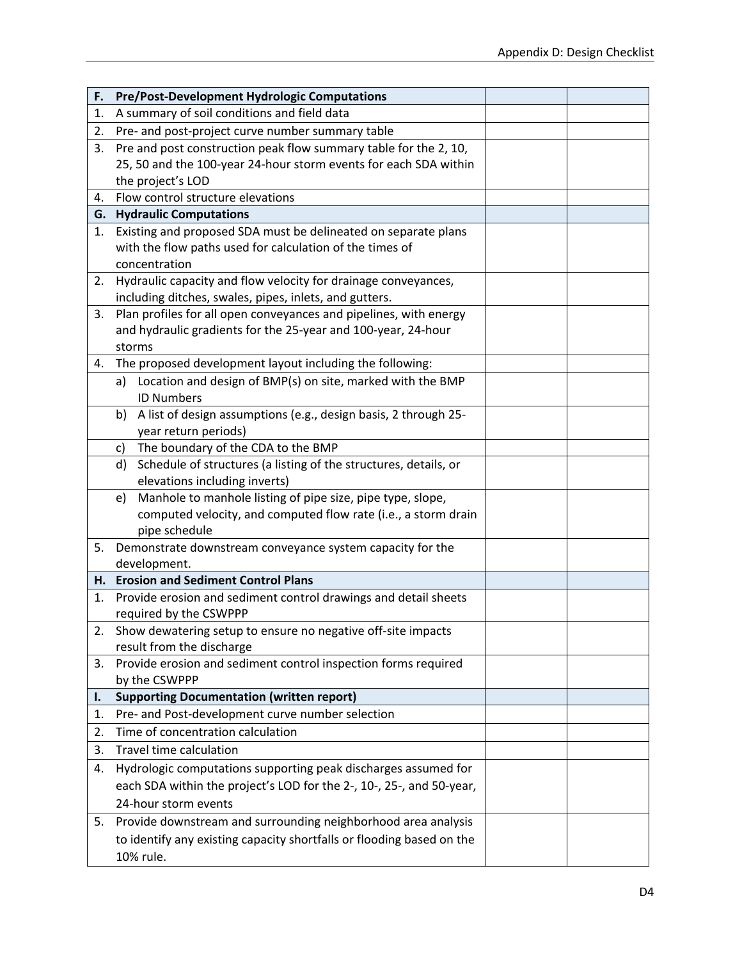| F. | <b>Pre/Post-Development Hydrologic Computations</b>                                                                         |  |
|----|-----------------------------------------------------------------------------------------------------------------------------|--|
| 1. | A summary of soil conditions and field data                                                                                 |  |
| 2. | Pre- and post-project curve number summary table                                                                            |  |
| 3. | Pre and post construction peak flow summary table for the 2, 10,                                                            |  |
|    | 25, 50 and the 100-year 24-hour storm events for each SDA within                                                            |  |
|    | the project's LOD                                                                                                           |  |
| 4. | Flow control structure elevations                                                                                           |  |
|    | <b>G.</b> Hydraulic Computations                                                                                            |  |
| 1. | Existing and proposed SDA must be delineated on separate plans                                                              |  |
|    | with the flow paths used for calculation of the times of                                                                    |  |
|    | concentration                                                                                                               |  |
| 2. | Hydraulic capacity and flow velocity for drainage conveyances,                                                              |  |
|    | including ditches, swales, pipes, inlets, and gutters.<br>Plan profiles for all open conveyances and pipelines, with energy |  |
| 3. | and hydraulic gradients for the 25-year and 100-year, 24-hour                                                               |  |
|    | storms                                                                                                                      |  |
| 4. | The proposed development layout including the following:                                                                    |  |
|    | a) Location and design of BMP(s) on site, marked with the BMP                                                               |  |
|    | <b>ID Numbers</b>                                                                                                           |  |
|    | A list of design assumptions (e.g., design basis, 2 through 25-<br>b)                                                       |  |
|    | year return periods)                                                                                                        |  |
|    | The boundary of the CDA to the BMP<br>C)                                                                                    |  |
|    | Schedule of structures (a listing of the structures, details, or<br>d)                                                      |  |
|    | elevations including inverts)                                                                                               |  |
|    | Manhole to manhole listing of pipe size, pipe type, slope,<br>e)                                                            |  |
|    | computed velocity, and computed flow rate (i.e., a storm drain                                                              |  |
|    | pipe schedule                                                                                                               |  |
| 5. | Demonstrate downstream conveyance system capacity for the                                                                   |  |
|    | development.                                                                                                                |  |
|    | H. Erosion and Sediment Control Plans                                                                                       |  |
| 1. | Provide erosion and sediment control drawings and detail sheets                                                             |  |
| 2. | required by the CSWPPP<br>Show dewatering setup to ensure no negative off-site impacts                                      |  |
|    | result from the discharge                                                                                                   |  |
| 3. | Provide erosion and sediment control inspection forms required                                                              |  |
|    | by the CSWPPP                                                                                                               |  |
| I. | <b>Supporting Documentation (written report)</b>                                                                            |  |
| 1. | Pre- and Post-development curve number selection                                                                            |  |
| 2. | Time of concentration calculation                                                                                           |  |
| 3. | Travel time calculation                                                                                                     |  |
| 4. | Hydrologic computations supporting peak discharges assumed for                                                              |  |
|    | each SDA within the project's LOD for the 2-, 10-, 25-, and 50-year,                                                        |  |
|    | 24-hour storm events                                                                                                        |  |
| 5. | Provide downstream and surrounding neighborhood area analysis                                                               |  |
|    | to identify any existing capacity shortfalls or flooding based on the                                                       |  |
|    | 10% rule.                                                                                                                   |  |